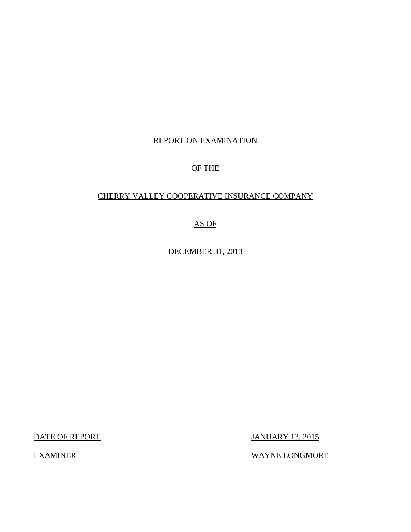## REPORT ON EXAMINATION

## OF THE

## CHERRY VALLEY COOPERATIVE INSURANCE COMPANY

AS OF

DECEMBER 31, 2013

DATE OF REPORT JANUARY 13, 2015

EXAMINER WAYNE LONGMORE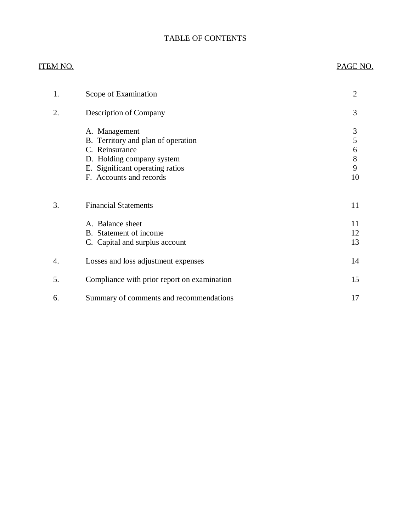# TABLE OF CONTENTS

| <u>ITEM NO.</u>  |                                                            | PAGE NO.       |
|------------------|------------------------------------------------------------|----------------|
| 1.               | Scope of Examination                                       | $\overline{2}$ |
| 2.               | Description of Company                                     | 3              |
|                  | A. Management                                              | 3              |
|                  | B. Territory and plan of operation                         | 5              |
|                  | C. Reinsurance                                             | 6              |
|                  | D. Holding company system                                  | 8              |
|                  | E. Significant operating ratios<br>F. Accounts and records | 9<br>10        |
| 3.               | <b>Financial Statements</b>                                | 11             |
|                  |                                                            |                |
|                  | A. Balance sheet                                           | 11             |
|                  | B. Statement of income                                     | 12             |
|                  | C. Capital and surplus account                             | 13             |
| $\overline{4}$ . | Losses and loss adjustment expenses                        | 14             |
| 5.               | Compliance with prior report on examination                | 15             |
| 6.               | Summary of comments and recommendations                    | 17             |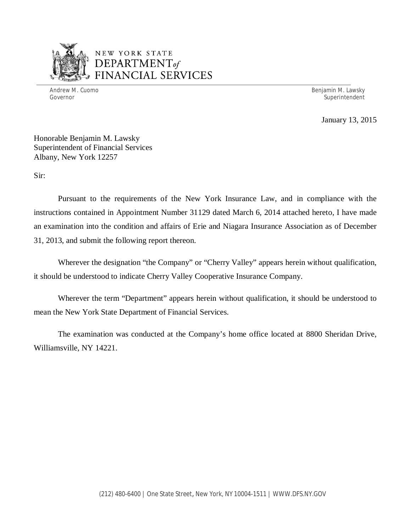

## NEW YORK STATE *DEPARTMENTof*  FINANCIAL SERVICES

Andrew M. Cuomo **Benjamin M. Lawsky** Governor Superintendent Superintendent Superintendent Superintendent Superintendent Superintendent Superintendent

January 13, 2015

Honorable Benjamin M. Lawsky Superintendent of Financial Services Albany, New York 12257

Sir:

Pursuant to the requirements of the New York Insurance Law, and in compliance with the instructions contained in Appointment Number 31129 dated March 6, 2014 attached hereto, I have made an examination into the condition and affairs of Erie and Niagara Insurance Association as of December 31, 2013, and submit the following report thereon.

Wherever the designation "the Company" or "Cherry Valley" appears herein without qualification, it should be understood to indicate Cherry Valley Cooperative Insurance Company.

Wherever the term "Department" appears herein without qualification, it should be understood to mean the New York State Department of Financial Services.

The examination was conducted at the Company's home office located at 8800 Sheridan Drive, Williamsville, NY 14221.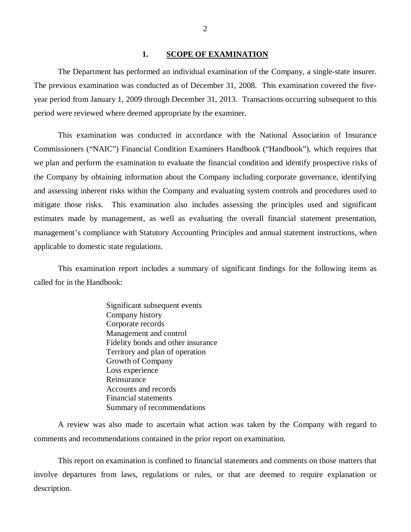#### **1. SCOPE OF EXAMINATION**

<span id="page-3-0"></span>The Department has performed an individual examination of the Company*,* a single-state insurer. The previous examination was conducted as of December 31, 2008. This examination covered the fiveyear period from January 1, 2009 through December 31, 2013. Transactions occurring subsequent to this period were reviewed where deemed appropriate by the examiner.

This examination was conducted in accordance with the National Association of Insurance Commissioners ("NAIC") Financial Condition Examiners Handbook ("Handbook"), which requires that we plan and perform the examination to evaluate the financial condition and identify prospective risks of the Company by obtaining information about the Company including corporate governance, identifying and assessing inherent risks within the Company and evaluating system controls and procedures used to mitigate those risks. This examination also includes assessing the principles used and significant estimates made by management, as well as evaluating the overall financial statement presentation, management's compliance with Statutory Accounting Principles and annual statement instructions, when applicable to domestic state regulations.

This examination report includes a summary of significant findings for the following items as called for in the Handbook:

> Significant subsequent events Company history Corporate records Management and control Fidelity bonds and other insurance Territory and plan of operation Growth of Company Loss experience Reinsurance Accounts and records Financial statements Summary of recommendations

A review was also made to ascertain what action was taken by the Company with regard to comments and recommendations contained in the prior report on examination.

This report on examination is confined to financial statements and comments on those matters that involve departures from laws, regulations or rules, or that are deemed to require explanation or description.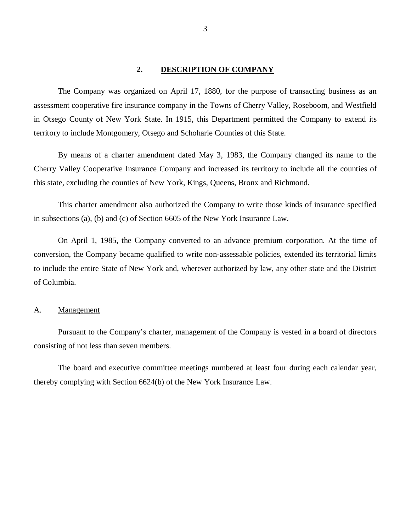#### **2. DESCRIPTION OF COMPANY**

<span id="page-4-0"></span>The Company was organized on April 17, 1880, for the purpose of transacting business as an assessment cooperative fire insurance company in the Towns of Cherry Valley, Roseboom, and Westfield in Otsego County of New York State. In 1915, this Department permitted the Company to extend its territory to include Montgomery, Otsego and Schoharie Counties of this State.

By means of a charter amendment dated May 3, 1983, the Company changed its name to the Cherry Valley Cooperative Insurance Company and increased its territory to include all the counties of this state, excluding the counties of New York, Kings, Queens, Bronx and Richmond.

This charter amendment also authorized the Company to write those kinds of insurance specified in subsections (a), (b) and (c) of Section 6605 of the New York Insurance Law.

On April 1, 1985, the Company converted to an advance premium corporation. At the time of conversion, the Company became qualified to write non-assessable policies, extended its territorial limits to include the entire State of New York and, wherever authorized by law, any other state and the District of Columbia.

#### A. Management

Pursuant to the Company's charter, management of the Company is vested in a board of directors consisting of not less than seven members.

The board and executive committee meetings numbered at least four during each calendar year, thereby complying with Section 6624(b) of the New York Insurance Law.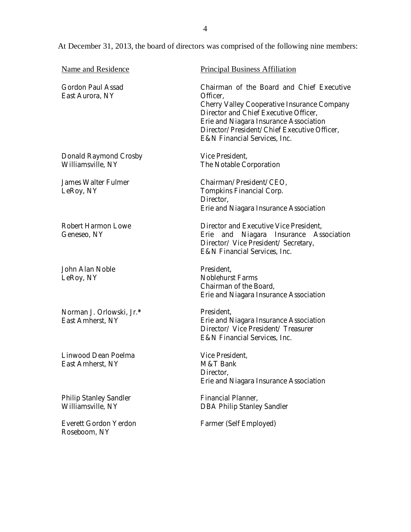At December 31, 2013, the board of directors was comprised of the following nine members:

| Name and Residence                                 | <b>Principal Business Affiliation</b>                                                                                                                                                                                                                                  |
|----------------------------------------------------|------------------------------------------------------------------------------------------------------------------------------------------------------------------------------------------------------------------------------------------------------------------------|
| Gordon Paul Assad<br>East Aurora, NY               | Chairman of the Board and Chief Executive<br>Officer,<br>Cherry Valley Cooperative Insurance Company<br>Director and Chief Executive Officer,<br>Erie and Niagara Insurance Association<br>Director/President/Chief Executive Officer,<br>E&N Financial Services, Inc. |
| Donald Raymond Crosby<br>Williamsville, NY         | Vice President,<br>The Notable Corporation                                                                                                                                                                                                                             |
| James Walter Fulmer<br>LeRoy, NY                   | Chairman/President/CEO,<br>Tompkins Financial Corp.<br>Director,<br>Erie and Niagara Insurance Association                                                                                                                                                             |
| Robert Harmon Lowe<br>Geneseo, NY                  | Director and Executive Vice President,<br>Erie and Niagara Insurance Association<br>Director/ Vice President/ Secretary,<br>E&N Financial Services, Inc.                                                                                                               |
| John Alan Noble<br>LeRoy, NY                       | President,<br><b>Noblehurst Farms</b><br>Chairman of the Board,<br>Erie and Niagara Insurance Association                                                                                                                                                              |
| Norman J. Orlowski, Jr.*<br>East Amherst, NY       | President,<br>Erie and Niagara Insurance Association<br>Director/ Vice President/ Treasurer<br>E&N Financial Services, Inc.                                                                                                                                            |
| Linwood Dean Poelma<br>East Amherst, NY            | Vice President,<br>M&T Bank<br>Director,<br>Erie and Niagara Insurance Association                                                                                                                                                                                     |
| <b>Philip Stanley Sandler</b><br>Williamsville, NY | Financial Planner,<br><b>DBA Philip Stanley Sandler</b>                                                                                                                                                                                                                |
| Everett Gordon Yerdon<br>Roseboom, NY              | Farmer (Self Employed)                                                                                                                                                                                                                                                 |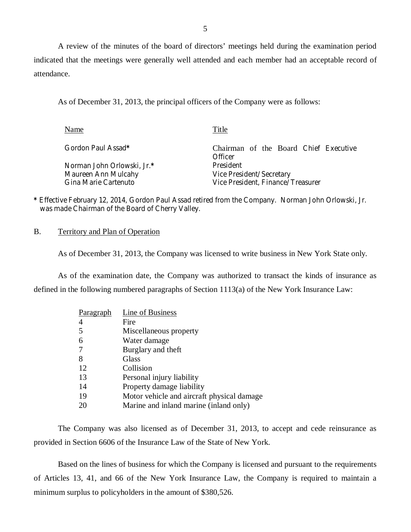A review of the minutes of the board of directors' meetings held during the examination period indicated that the meetings were generally well attended and each member had an acceptable record of attendance.

As of December 31, 2013, the principal officers of the Company were as follows:

| Name                                        | Title                                                         |
|---------------------------------------------|---------------------------------------------------------------|
| Gordon Paul Assad*                          | Chairman of the Board Chief Executive<br>Officer              |
| Norman John Orlowski, Jr.*                  | President                                                     |
| Maureen Ann Mulcahy<br>Gina Marie Cartenuto | Vice President/Secretary<br>Vice President, Finance/Treasurer |

**\*** Effective February 12, 2014, Gordon Paul Assad retired from the Company. Norman John Orlowski, Jr. was made Chairman of the Board of Cherry Valley.

B. Territory and Plan of Operation

As of December 31, 2013, the Company was licensed to write business in New York State only.

As of the examination date, the Company was authorized to transact the kinds of insurance as defined in the following numbered paragraphs of Section 1113(a) of the New York Insurance Law:

| Paragraph | Line of Business                           |
|-----------|--------------------------------------------|
| 4         | Fire                                       |
| 5         | Miscellaneous property                     |
| 6         | Water damage                               |
|           | Burglary and theft                         |
| 8         | Glass                                      |
| 12        | Collision                                  |
| 13        | Personal injury liability                  |
| 14        | Property damage liability                  |
| 19        | Motor vehicle and aircraft physical damage |
| 20        | Marine and inland marine (inland only)     |

The Company was also licensed as of December 31, 2013, to accept and cede reinsurance as provided in Section 6606 of the Insurance Law of the State of New York.

Based on the lines of business for which the Company is licensed and pursuant to the requirements of Articles 13, 41, and 66 of the New York Insurance Law, the Company is required to maintain a minimum surplus to policyholders in the amount of \$380,526.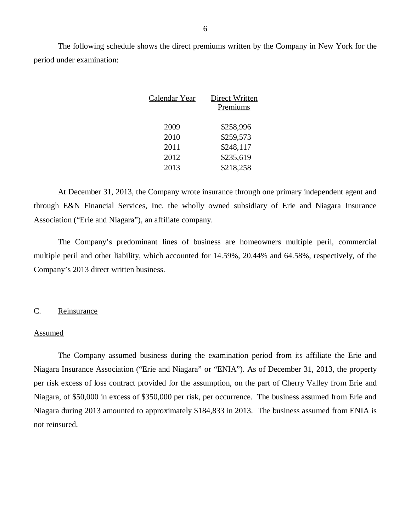<span id="page-7-0"></span>The following schedule shows the direct premiums written by the Company in New York for the period under examination:

| Calendar Year | Direct Written |
|---------------|----------------|
|               | Premiums       |
|               |                |
| 2009          | \$258,996      |
| 2010          | \$259,573      |
| 2011          | \$248,117      |
| 2012          | \$235,619      |
| 2013          | \$218,258      |
|               |                |

At December 31, 2013, the Company wrote insurance through one primary independent agent and through E&N Financial Services, Inc. the wholly owned subsidiary of Erie and Niagara Insurance Association ("Erie and Niagara"), an affiliate company.

The Company's predominant lines of business are homeowners multiple peril, commercial multiple peril and other liability, which accounted for 14.59%, 20.44% and 64.58%, respectively, of the Company's 2013 direct written business.

### C. Reinsurance

#### Assumed

The Company assumed business during the examination period from its affiliate the Erie and Niagara Insurance Association ("Erie and Niagara" or "ENIA"). As of December 31, 2013, the property per risk excess of loss contract provided for the assumption, on the part of Cherry Valley from Erie and Niagara, of \$50,000 in excess of \$350,000 per risk, per occurrence. The business assumed from Erie and Niagara during 2013 amounted to approximately \$184,833 in 2013. The business assumed from ENIA is not reinsured.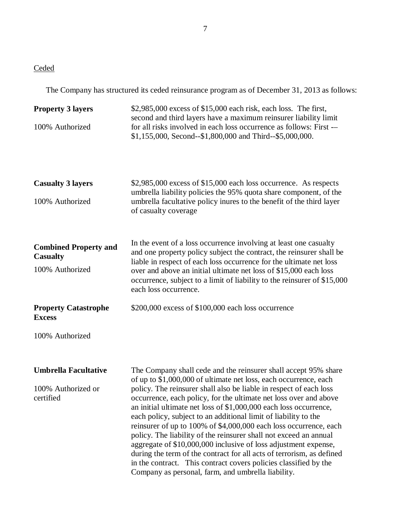# **Ceded**

The Company has structured its ceded reinsurance program as of December 31, 2013 as follows:

| <b>Property 3 layers</b>                        | $$2,985,000$ excess of $$15,000$ each risk, each loss. The first,<br>second and third layers have a maximum reinsurer liability limit                                                                                                                                                                                                                                                                                                                                                                                                                                                                                                                                                           |
|-------------------------------------------------|-------------------------------------------------------------------------------------------------------------------------------------------------------------------------------------------------------------------------------------------------------------------------------------------------------------------------------------------------------------------------------------------------------------------------------------------------------------------------------------------------------------------------------------------------------------------------------------------------------------------------------------------------------------------------------------------------|
| 100% Authorized                                 | for all risks involved in each loss occurrence as follows: First -<br>\$1,155,000, Second--\$1,800,000 and Third--\$5,000,000.                                                                                                                                                                                                                                                                                                                                                                                                                                                                                                                                                                  |
| <b>Casualty 3 layers</b>                        | \$2,985,000 excess of \$15,000 each loss occurrence. As respects<br>umbrella liability policies the 95% quota share component, of the                                                                                                                                                                                                                                                                                                                                                                                                                                                                                                                                                           |
| 100% Authorized                                 | umbrella facultative policy inures to the benefit of the third layer<br>of casualty coverage                                                                                                                                                                                                                                                                                                                                                                                                                                                                                                                                                                                                    |
| <b>Combined Property and</b><br><b>Casualty</b> | In the event of a loss occurrence involving at least one casualty<br>and one property policy subject the contract, the reinsurer shall be<br>liable in respect of each loss occurrence for the ultimate net loss                                                                                                                                                                                                                                                                                                                                                                                                                                                                                |
| 100% Authorized                                 | over and above an initial ultimate net loss of \$15,000 each loss<br>occurrence, subject to a limit of liability to the reinsurer of \$15,000<br>each loss occurrence.                                                                                                                                                                                                                                                                                                                                                                                                                                                                                                                          |
| <b>Property Catastrophe</b><br><b>Excess</b>    | \$200,000 excess of \$100,000 each loss occurrence                                                                                                                                                                                                                                                                                                                                                                                                                                                                                                                                                                                                                                              |
| 100% Authorized                                 |                                                                                                                                                                                                                                                                                                                                                                                                                                                                                                                                                                                                                                                                                                 |
| <b>Umbrella Facultative</b>                     | The Company shall cede and the reinsurer shall accept 95% share<br>of up to \$1,000,000 of ultimate net loss, each occurrence, each                                                                                                                                                                                                                                                                                                                                                                                                                                                                                                                                                             |
| 100% Authorized or<br>certified                 | policy. The reinsurer shall also be liable in respect of each loss<br>occurrence, each policy, for the ultimate net loss over and above<br>an initial ultimate net loss of \$1,000,000 each loss occurrence,<br>each policy, subject to an additional limit of liability to the<br>reinsurer of up to 100% of \$4,000,000 each loss occurrence, each<br>policy. The liability of the reinsurer shall not exceed an annual<br>aggregate of \$10,000,000 inclusive of loss adjustment expense,<br>during the term of the contract for all acts of terrorism, as defined<br>in the contract. This contract covers policies classified by the<br>Company as personal, farm, and umbrella liability. |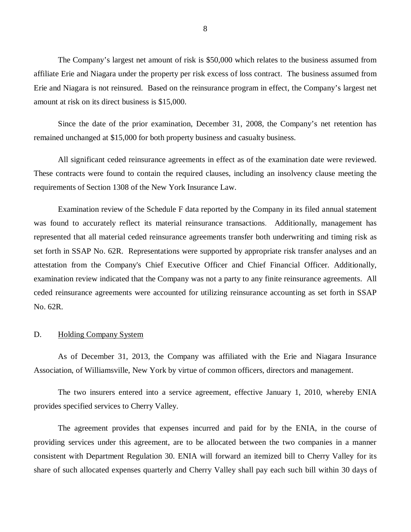<span id="page-9-0"></span>The Company's largest net amount of risk is \$50,000 which relates to the business assumed from affiliate Erie and Niagara under the property per risk excess of loss contract. The business assumed from Erie and Niagara is not reinsured. Based on the reinsurance program in effect, the Company's largest net amount at risk on its direct business is \$15,000.

Since the date of the prior examination, December 31, 2008, the Company's net retention has remained unchanged at \$15,000 for both property business and casualty business.

All significant ceded reinsurance agreements in effect as of the examination date were reviewed. These contracts were found to contain the required clauses, including an insolvency clause meeting the requirements of Section 1308 of the New York Insurance Law.

Examination review of the Schedule F data reported by the Company in its filed annual statement was found to accurately reflect its material reinsurance transactions. Additionally, management has represented that all material ceded reinsurance agreements transfer both underwriting and timing risk as set forth in SSAP No. 62R. Representations were supported by appropriate risk transfer analyses and an attestation from the Company's Chief Executive Officer and Chief Financial Officer. Additionally, examination review indicated that the Company was not a party to any finite reinsurance agreements. All ceded reinsurance agreements were accounted for utilizing reinsurance accounting as set forth in SSAP No. 62R.

#### D. Holding Company System

As of December 31, 2013, the Company was affiliated with the Erie and Niagara Insurance Association, of Williamsville, New York by virtue of common officers, directors and management.

The two insurers entered into a service agreement, effective January 1, 2010, whereby ENIA provides specified services to Cherry Valley.

The agreement provides that expenses incurred and paid for by the ENIA, in the course of providing services under this agreement, are to be allocated between the two companies in a manner consistent with Department Regulation 30. ENIA will forward an itemized bill to Cherry Valley for its share of such allocated expenses quarterly and Cherry Valley shall pay each such bill within 30 days of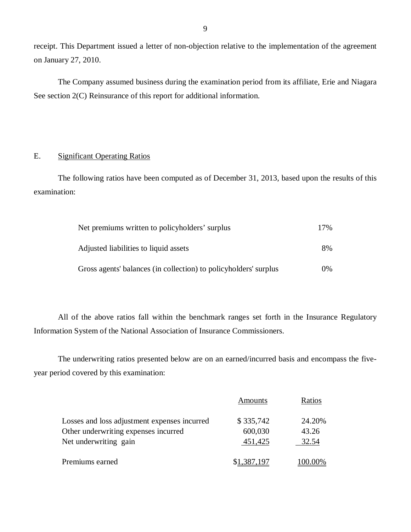receipt. This Department issued a letter of non-objection relative to the implementation of the agreement on January 27, 2010.

The Company assumed business during the examination period from its affiliate, Erie and Niagara See section 2(C) Reinsurance of this report for additional information.

## E. Significant Operating Ratios

The following ratios have been computed as of December 31, 2013, based upon the results of this examination:

| Net premiums written to policyholders' surplus                   | 17%   |
|------------------------------------------------------------------|-------|
| Adjusted liabilities to liquid assets                            | 8%    |
| Gross agents' balances (in collection) to policyholders' surplus | $0\%$ |

All of the above ratios fall within the benchmark ranges set forth in the Insurance Regulatory Information System of the National Association of Insurance Commissioners.

The underwriting ratios presented below are on an earned/incurred basis and encompass the fiveyear period covered by this examination:

|                                              | Amounts     | Ratios  |
|----------------------------------------------|-------------|---------|
| Losses and loss adjustment expenses incurred | \$335,742   | 24.20%  |
| Other underwriting expenses incurred         | 600,030     | 43.26   |
| Net underwriting gain                        | 451,425     | 32.54   |
| Premiums earned                              | \$1,387,197 | 100.00% |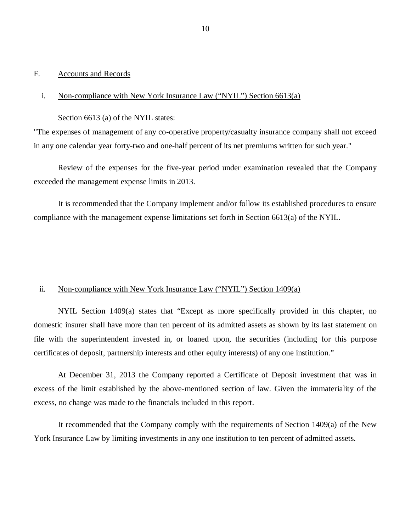#### <span id="page-11-0"></span>F. Accounts and Records

#### i. Non-compliance with New York Insurance Law ("NYIL") Section 6613(a)

Section 6613 (a) of the NYIL states:

"The expenses of management of any co-operative property/casualty insurance company shall not exceed in any one calendar year forty-two and one-half percent of its net premiums written for such year."

Review of the expenses for the five-year period under examination revealed that the Company exceeded the management expense limits in 2013.

It is recommended that the Company implement and/or follow its established procedures to ensure compliance with the management expense limitations set forth in Section 6613(a) of the NYIL.

#### ii. Non-compliance with New York Insurance Law ("NYIL") Section 1409(a)

NYIL Section 1409(a) states that "Except as more specifically provided in this chapter, no domestic insurer shall have more than ten percent of its admitted assets as shown by its last statement on file with the superintendent invested in, or loaned upon, the securities (including for this purpose certificates of deposit, partnership interests and other equity interests) of any one institution."

At December 31, 2013 the Company reported a Certificate of Deposit investment that was in excess of the limit established by the above-mentioned section of law. Given the immateriality of the excess, no change was made to the financials included in this report.

It recommended that the Company comply with the requirements of Section 1409(a) of the New York Insurance Law by limiting investments in any one institution to ten percent of admitted assets.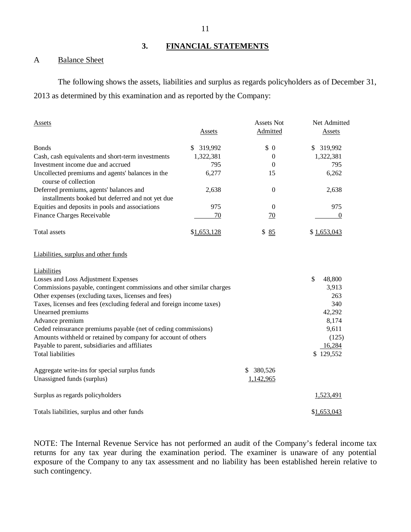## **3. FINANCIAL STATEMENTS**

## <span id="page-12-0"></span>A Balance Sheet

The following shows the assets, liabilities and surplus as regards policyholders as of December 31, 2013 as determined by this examination and as reported by the Company:

| <b>Assets</b>                                                                               |               | <b>Assets Not</b> | Net Admitted  |
|---------------------------------------------------------------------------------------------|---------------|-------------------|---------------|
|                                                                                             | Assets        | Admitted          | <b>Assets</b> |
| <b>Bonds</b>                                                                                | \$<br>319,992 | \$0               | \$<br>319,992 |
| Cash, cash equivalents and short-term investments                                           | 1,322,381     | $\overline{0}$    | 1,322,381     |
| Investment income due and accrued                                                           | 795           | 0                 | 795           |
| Uncollected premiums and agents' balances in the<br>course of collection                    | 6,277         | 15                | 6,262         |
| Deferred premiums, agents' balances and<br>installments booked but deferred and not yet due | 2,638         | $\boldsymbol{0}$  | 2,638         |
| Equities and deposits in pools and associations                                             | 975           | $\Omega$          | 975           |
| Finance Charges Receivable                                                                  | 70            | $\overline{10}$   | 0             |
| Total assets                                                                                | \$1,653,128   | \$<br>85          | \$1,653,043   |
| Liabilities, surplus and other funds                                                        |               |                   |               |
| Liabilities                                                                                 |               |                   |               |
| Losses and Loss Adjustment Expenses                                                         |               |                   | \$<br>48,800  |
| Commissions payable, contingent commissions and other similar charges                       |               |                   | 3,913         |
| Other expenses (excluding taxes, licenses and fees)                                         |               |                   | 263           |
| Taxes, licenses and fees (excluding federal and foreign income taxes)                       |               |                   | 340           |
| Unearned premiums                                                                           |               |                   | 42,292        |
| Advance premium                                                                             |               |                   | 8,174         |
| Ceded reinsurance premiums payable (net of ceding commissions)                              |               |                   | 9,611         |
| Amounts withheld or retained by company for account of others                               |               |                   | (125)         |
| Payable to parent, subsidiaries and affiliates                                              |               |                   | 16,284        |
| <b>Total liabilities</b>                                                                    |               |                   | \$129,552     |
| Aggregate write-ins for special surplus funds                                               |               | 380,526<br>\$     |               |
| Unassigned funds (surplus)                                                                  |               | 1,142,965         |               |
| Surplus as regards policyholders                                                            |               |                   | 1,523,491     |
| Totals liabilities, surplus and other funds                                                 |               |                   | \$1,653,043   |

NOTE: The Internal Revenue Service has not performed an audit of the Company's federal income tax returns for any tax year during the examination period. The examiner is unaware of any potential exposure of the Company to any tax assessment and no liability has been established herein relative to such contingency.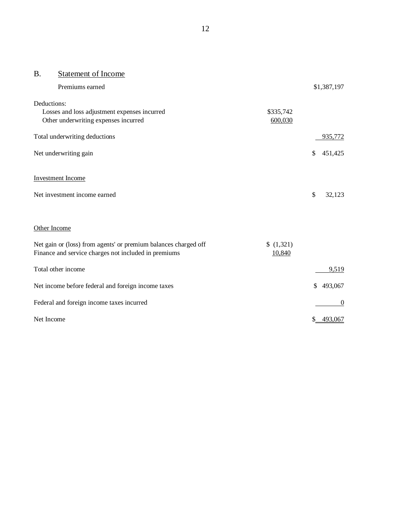## B. Statement of Income

| Premiums earned                                                                                                         |                   | \$1,387,197      |
|-------------------------------------------------------------------------------------------------------------------------|-------------------|------------------|
| Deductions:                                                                                                             |                   |                  |
| Losses and loss adjustment expenses incurred                                                                            | \$335,742         |                  |
| Other underwriting expenses incurred                                                                                    | 600,030           |                  |
| Total underwriting deductions                                                                                           |                   | 935,772          |
| Net underwriting gain                                                                                                   |                   | \$<br>451,425    |
| <b>Investment Income</b>                                                                                                |                   |                  |
| Net investment income earned                                                                                            |                   | \$<br>32,123     |
| Other Income                                                                                                            |                   |                  |
| Net gain or (loss) from agents' or premium balances charged off<br>Finance and service charges not included in premiums | (1,321)<br>10,840 |                  |
| Total other income                                                                                                      |                   | 9,519            |
| Net income before federal and foreign income taxes                                                                      |                   | \$<br>493,067    |
| Federal and foreign income taxes incurred                                                                               |                   | $\boldsymbol{0}$ |
| Net Income                                                                                                              |                   | \$ 493,067       |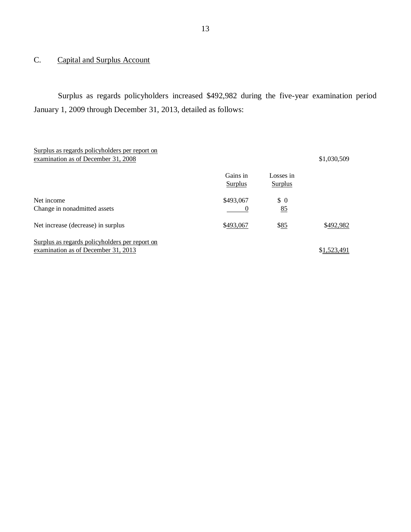## C. Capital and Surplus Account

Surplus as regards policyholders increased \$492,982 during the five-year examination period January 1, 2009 through December 31, 2013, detailed as follows:

| Surplus as regards policyholders per report on<br>examination as of December 31, 2008 |                            |                             | \$1,030,509 |
|---------------------------------------------------------------------------------------|----------------------------|-----------------------------|-------------|
|                                                                                       | Gains in<br><b>Surplus</b> | Losses in<br><b>Surplus</b> |             |
| Net income<br>Change in nonadmitted assets                                            | \$493,067                  | $\Omega$<br>85              |             |
| Net increase (decrease) in surplus                                                    | \$493,067                  | \$85                        | \$492,982   |
| Surplus as regards policyholders per report on<br>examination as of December 31, 2013 |                            |                             | \$1,523,491 |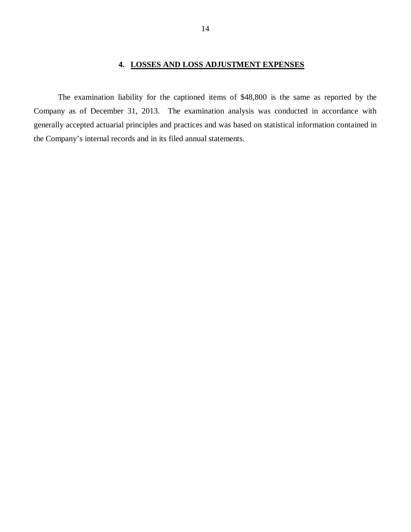## **4. LOSSES AND LOSS ADJUSTMENT EXPENSES**

<span id="page-15-0"></span>The examination liability for the captioned items of \$48,800 is the same as reported by the Company as of December 31, 2013. The examination analysis was conducted in accordance with generally accepted actuarial principles and practices and was based on statistical information contained in the Company's internal records and in its filed annual statements.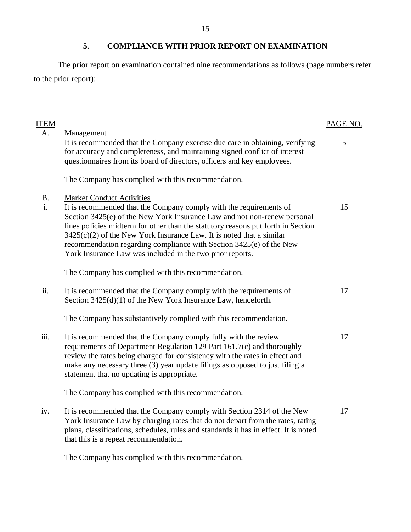<span id="page-16-0"></span>The prior report on examination contained nine recommendations as follows (page numbers refer to the prior report):

| <b>ITEM</b>     |                                                                                                                                                                                                                                                                                                                                                                                                                                                                                      | PAGE NO. |
|-----------------|--------------------------------------------------------------------------------------------------------------------------------------------------------------------------------------------------------------------------------------------------------------------------------------------------------------------------------------------------------------------------------------------------------------------------------------------------------------------------------------|----------|
| A.              | Management<br>It is recommended that the Company exercise due care in obtaining, verifying<br>for accuracy and completeness, and maintaining signed conflict of interest<br>questionnaires from its board of directors, officers and key employees.                                                                                                                                                                                                                                  | 5        |
|                 | The Company has complied with this recommendation.                                                                                                                                                                                                                                                                                                                                                                                                                                   |          |
| <b>B.</b><br>i. | <b>Market Conduct Activities</b><br>It is recommended that the Company comply with the requirements of<br>Section 3425(e) of the New York Insurance Law and not non-renew personal<br>lines policies midterm for other than the statutory reasons put forth in Section<br>$3425(c)(2)$ of the New York Insurance Law. It is noted that a similar<br>recommendation regarding compliance with Section 3425(e) of the New<br>York Insurance Law was included in the two prior reports. | 15       |
|                 | The Company has complied with this recommendation.                                                                                                                                                                                                                                                                                                                                                                                                                                   |          |
| ii.             | It is recommended that the Company comply with the requirements of<br>Section $3425(d)(1)$ of the New York Insurance Law, henceforth.                                                                                                                                                                                                                                                                                                                                                | 17       |
|                 | The Company has substantively complied with this recommendation.                                                                                                                                                                                                                                                                                                                                                                                                                     |          |
| iii.            | It is recommended that the Company comply fully with the review<br>requirements of Department Regulation 129 Part 161.7(c) and thoroughly<br>review the rates being charged for consistency with the rates in effect and<br>make any necessary three (3) year update filings as opposed to just filing a<br>statement that no updating is appropriate.                                                                                                                               | 17       |
|                 | The Company has complied with this recommendation.                                                                                                                                                                                                                                                                                                                                                                                                                                   |          |
| iv.             | It is recommended that the Company comply with Section 2314 of the New<br>York Insurance Law by charging rates that do not depart from the rates, rating<br>plans, classifications, schedules, rules and standards it has in effect. It is noted<br>that this is a repeat recommendation.                                                                                                                                                                                            | 17       |

The Company has complied with this recommendation.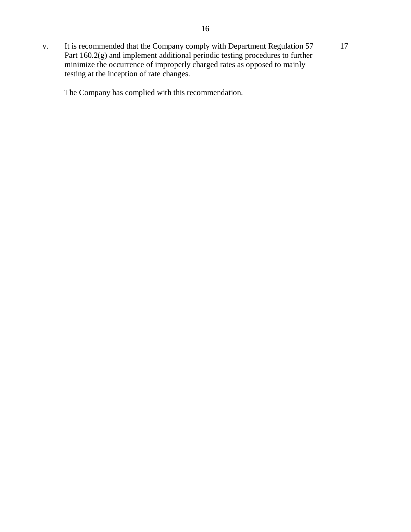v. It is recommended that the Company comply with Department Regulation 57 17 Part 160.2(g) and implement additional periodic testing procedures to further minimize the occurrence of improperly charged rates as opposed to mainly testing at the inception of rate changes.

The Company has complied with this recommendation.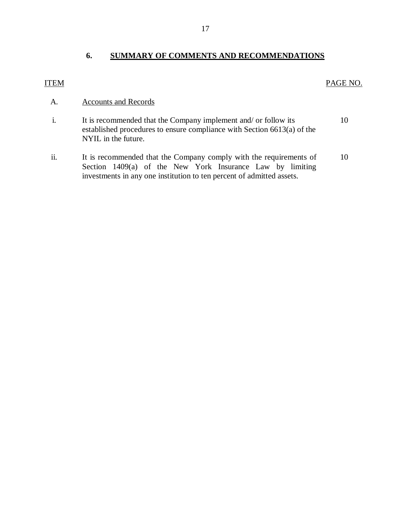## **6. SUMMARY OF COMMENTS AND RECOMMENDATIONS**

## ITEM PAGE NO.

## A. Accounts and Records

- i. It is recommended that the Company implement and/ or follow its established procedures to ensure compliance with Section 6613(a) of the NYIL in the future. 10
- ii. It is recommended that the Company comply with the requirements of Section 1409(a) of the New York Insurance Law by limiting investments in any one institution to ten percent of admitted assets. 10